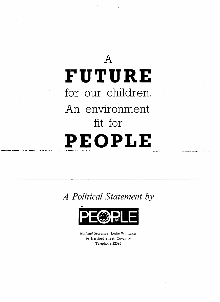

## **A Political Statement by**



**National Secretary:** Leslie Whittaker 69 Hertford Street, Coventry Telephone 22586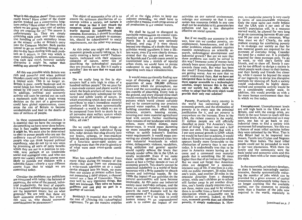What is this election about? Does anyone really know? Have either of the major parties worked out a constructive long-<br>term policy? Have either of them told us where we are going, what sort of society they are creating for us? The answer is unfortunately no. They are simply<br>criticising each other over their respective handling of such secondary issues as the miners' strike or Britain's entry into the Common Market. Both parties intend to go on muddling through on <sup>a</sup> day-to-day basis dealing with each prob lem as it occurs, in that way which is most politically expedient, accommoda ting each new trend, however socially disruptive it might be, rather than making any attempt to reverse it.

All this was possible while Britain was rich and powerful and when political blunders could only lead to problems on <sup>a</sup> limited scale. This is no longer so. Britain is poor, nearly bankrupt and its social fabric has been insidiously under mined by 150 years of industrialisation. In addition, political and economic activity will soon be carried out on such <sup>a</sup> mammoth scale that <sup>a</sup> single wrong decision on the par<sup>t</sup> of <sup>a</sup> governmen<sup>t</sup> could have global repercussions, cause areas the size of Britain to become uninhabitable and lead to the deaths of tens of millions of people.

In these unprecedented conditions it is essential that we have the courage to do something we have never done before; that is face reality however unpleasant it might be. We must also be determined to elect to power people who are not the ordinary run-of-the-mill politicians, people who can think beyond political expediency, who do not try to win votes by promising all sorts of petty benefits<br>which they are not in a position to provide, save perhaps at an intolerable social and ecological cost, and who can<br>move our society along that course most likely to provide our children with a tolerable future—clearly <sup>a</sup> very different course from that to which we are committed today.

Consider the problems our politicians are concerned with today: the balance of payments, the value of the pound, indus trial productivity, the level of exports. It is assumed without question that these are the important issues; but on what grounds? We are told that these are basic economic priorities. But even if this were so, why should economic considerations be paramount?

The object of economics after all is to ensure the optimum distribution of re sources within <sup>a</sup> society, not torture it out of shape so that it may absorb the resources which economists have arbi trarily decreed its inhabitants should consume. Economics, it should be evident to everyone, excep<sup>t</sup> perhaps to econom ists, should be subordinated to social requirements, not the other way around.

At this point one might ask where is economic growth actually taking us. Is it really creating <sup>a</sup> better world? Techno logists, inebriated with their apparen<sup>t</sup> conques<sup>t</sup> of nature, never tire of describing the technological paradise they are creating for us. But is it really <sup>a</sup> paradise? Are we sure that we want such <sup>a</sup> world?

Do we really long to live in skyscrapers half <sup>a</sup> mile high in cities of <sup>a</sup> hundred million people? Do we pine for <sup>a</sup> man-made cement and plastic world in which the brash artefacts of mass society have been effectively substituted for the varied and subtle works of nature, in which everything which does not directly contribute to man's immediate material comforts will have been systematically eliminated—a world in which wc are to be pampered from birth to death by an all pervasive state welfare system which deprives us of all initiative, all responsi bility, all risk?

Do we really regard such things as supersonic transports, individual flying kits, radar devices that plug directly into our brains, cyborgs, or man-machine hybrids and the remaining paraphernalia of <sup>a</sup> futuristic space-aged society as anything more than the puerile gimmicry of what were once avant-garde comic strips?

Man has undoubtedly suffered from many things during his tenancy of this planet—but never from not possessing <sup>a</sup> wrist-watch television set or <sup>a</sup> radar device plugged into his brain, no more than our society at presen<sup>t</sup> suffers from not possessing <sup>a</sup> third airport, <sup>a</sup> channel tunnel nor <sup>a</sup> fleet of Concordes. These may well be very ingenious things. But they are irrelevant. They solve no human problems and can play no par<sup>t</sup> in <sup>a</sup> strategy of survival.

Besides $\lambda$  it is essential that we realise the cost of achieving this technological nightmare. To ge<sup>t</sup> the massive supplies of oil at the right prices to keep our industry expanding, vve shall have to undertake <sup>a</sup> massive ciash progtamme of oil production in our coastal waters.

We shall be forced to disregard its inevitable repercussions on coastal com munities and on the environment. The North Sea is already very seriously polluted, and even if it were shown beyond any shadow of <sup>a</sup> doubt that these activities would transform it into <sup>a</sup> life less waste, even if it were clearly demon strated that the villages and towns on the Scottish and Cornish coasts would be transformed into <sup>a</sup> stretch of squalid urban slums, we would have to persist undaunted in our designs, totally dis regarding such minor considerations.

It would mean continually finding new ways of disposing of the ever greater quantities of some 500,000 different pollutants which the atmosphere, our rivers and the surrounding seas arc ever less capable of absorbing. Every hole in the ground, and every disused mine shaft would eventually be filled with dangerous poisons which would almost certainly end up by contaminating our precious ground water supplies. It would mean building countless more office blocks, factories, airports, housing estates, covering ever more essential agricultural land with cement, further mutiliating what remains of our landscape with more pylons, more rubbish dumps, more motor-ways. It would mean damming up more estuaries and flooding more valleys to satisfy industry's limitless water requirements. It would mean converting our already devastated cities into vast industrial wastelands in which crime, delinquency, violence, vandalism, drug addiction and general squalor would rapidly achieve the levels that already render urban life in the USA so totally intolerable. Even if we make these terrible sacrifices we shall only assure at best <sup>a</sup> further decade or two of economic growth. This clearly cannot be sustained indefinitely in <sup>a</sup> world of finite resources with a finite capacity to absorb human and industrial wastes. By the 1990s the impact of our activities on the natural environment will have become intolerable. At this point our industrial society must inevitably collapse, and the more we commit ourselves to economic growth the more dramatic will be the consequences of this collapse. The only course open to us if we wish to avoid<br>human misery on an unprecedented scale is to reduce the impact of our

activities on our natural environment, redesign our economy so that it con sumes less resources (which in any case shall not be available to it), generates less pollution and has a less disruptive effective on social systems.

But if we modify our economy in this way, how can we combat poverty, un employment, homelessness, and all the other problems whose solution requires massive expenditures on scientific re search, technological development and industrial growth? But are we sure that these problems can really be solved in this way? Immense sums of money have already been spen<sup>t</sup> throughout the world towards these ends. But what has been the result? Everywhere these problems are getting worse. Are we sure that we really understand them, that we have not<br>interpreted them in that way which makes them appear amenable to a technological solution, simply because this is the only one our society has to offer, while we refuse to adopt that life-style which would provide their only real solution?

Poverty. Practically every country in the world has committed itself to economic growth, and the elimination of poverty is in every case the principal justification for it, and yet poverty is<br>everywhere on the increase. Even in the USA, the richest country in the world. 21 million people are still officially classified as poor. Yet America's 'stan dard of living' is about two and <sup>a</sup> half times our own. This means that with <sup>a</sup> 3 per cent annual growth in GNP, which we would be hard pu<sup>t</sup> to achieve, it would take us 50 years to reach <sup>a</sup> situation which appears hardly more favourable to the elimination of poverty than is our own today. It is undoubtedly true that to be poor in America means having an in come and <sup>a</sup> command over material goods that is something like 30 times higher than that of an Indian or Nigerian. But we must not forget that American cities arc designed for <sup>a</sup> resourceintensive way of life. If one lives in <sup>a</sup> city, with no public transport, 20 miles from one's work, and another 20 miles in the opposite direction from <sup>a</sup> shopping centre, while one's children go to school still further away in ye<sup>t</sup> another direc tion, one's family clearly requires two, if not three, motor cars and to be without them is to suffer from <sup>a</sup> form of material deprivation which presumably can be classified as poverty. Indeed, as Illich says, economic growth does not eliminate poverty, it simply modernises it. How

ever, to modernise poverty is very costly in terms of non-renewable resources. Only the most naive can really believe that the USA with 6 per cent of the world's population will, in <sup>a</sup> resource starved world, be allowed for very long to go on consuming between 40 per cent and 50 per cent of its resources. What then must we do? Clearly, the only realistic strategy for combating poverty is to re-design our society so that far less material goods are required for the purposes of everyday living. Consider the need for <sup>a</sup> motor car. It is probably required for three purposes only. To go to work, to visit one's family and friends, and to show off. Surely it can not be too difficult to design <sup>a</sup> society in which people work closer to their homes. and their family and friends live closer by, while it cannot be beyond the scope of our ingenuity to devise less disruptive methods for showing off. Such <sup>a</sup> society would undoubtedly be highly decen tralised and economic activity would be on <sup>a</sup> considerably smaller scale. In addition, this would provide us with <sup>a</sup> far more human environment than that in which we live today.

Unemployment. Unemployment levels are still high both in the USA and in Britain, and with the energy crisis, are likely in the near future to reach still less tolerable levels. As paradoxical as it may seem, one has to go back to preindustrial times to find <sup>a</sup> society with permanen<sup>t</sup> full employment. Yet this was <sup>a</sup> feature of most tribal societies before they were colonised by the West. That is why Bihari had to be imported into Assam, Tamils into Ceylon and Negroes into the West Indies. The local tribal people could not be persuaded to work in our vast plantations. With them the family and the community were the basic social and economic units and this provided them with <sup>a</sup> far more satisfying life style.

In the meanwhile, as industry develops, so does it become increasingly capitalintensive, thereby systematically reduc ing the number of jobs which can be provided for <sup>a</sup> given amount of capital investment. Unfortunately today there is no longer anything like the available capital, nor the resources to provide more than <sup>a</sup> fraction of the jobs now required in the world, especially in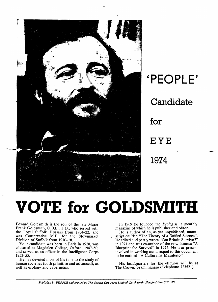

*'PEOPLE' Candidate for EYE 1974*

## *VOTE for GOLDSMITH*

Edward Goldsmith is the son of the late Major Frank Goldsmith, O.B.E., T.D., who served with the Loyal Suffolk Hussars from 1904-22, and was Conservative M.P. for the Stowmarket Division of Suffolk from 1910-18.

Your candidate was born in Paris in 1928, was educated at Magdalen College, Oxford, 1947-50, and served as an officer in the Intelligence Corps 1953-55.

He has devoted most of his time to the study of human societies (both primitive and advanced), as well as ecology and cybernetics.

In 1969 he founded the **Eco/ogist,** a monthly magazine of which he is publisher and **editor.**

He is author of an, as yet unpublished, manu script entitled "The Theory of a Unified Science". He edited and partly wrote "Can Britain Survive?" in 1971 and was co-author of the now-famous "A Blueprint for Survival" in 1972. He is at present involved in working out a sequel to this document to be entitled "A Culturalist Manifesto".

His headquarters for the election will be at The Crown, Framlingham (Telephone 723521).